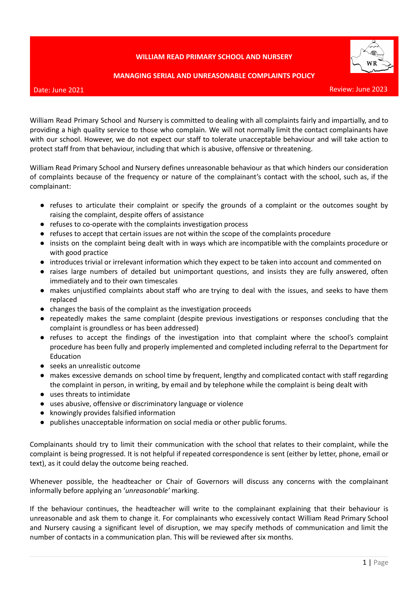## **WILLIAM READ PRIMARY SCHOOL AND NURSERY**





Review: June 2023

William Read Primary School and Nursery is committed to dealing with all complaints fairly and impartially, and to providing a high quality service to those who complain. We will not normally limit the contact complainants have with our school. However, we do not expect our staff to tolerate unacceptable behaviour and will take action to protect staff from that behaviour, including that which is abusive, offensive or threatening.

William Read Primary School and Nursery defines unreasonable behaviour as that which hinders our consideration of complaints because of the frequency or nature of the complainant's contact with the school, such as, if the complainant:

- refuses to articulate their complaint or specify the grounds of a complaint or the outcomes sought by raising the complaint, despite offers of assistance
- refuses to co-operate with the complaints investigation process
- refuses to accept that certain issues are not within the scope of the complaints procedure
- insists on the complaint being dealt with in ways which are incompatible with the complaints procedure or with good practice
- introduces trivial or irrelevant information which they expect to be taken into account and commented on
- raises large numbers of detailed but unimportant questions, and insists they are fully answered, often immediately and to their own timescales
- makes unjustified complaints about staff who are trying to deal with the issues, and seeks to have them replaced
- changes the basis of the complaint as the investigation proceeds
- repeatedly makes the same complaint (despite previous investigations or responses concluding that the complaint is groundless or has been addressed)
- refuses to accept the findings of the investigation into that complaint where the school's complaint procedure has been fully and properly implemented and completed including referral to the Department for Education
- seeks an unrealistic outcome
- makes excessive demands on school time by frequent, lengthy and complicated contact with staff regarding the complaint in person, in writing, by email and by telephone while the complaint is being dealt with
- uses threats to intimidate
- uses abusive, offensive or discriminatory language or violence
- knowingly provides falsified information
- publishes unacceptable information on social media or other public forums.

Complainants should try to limit their communication with the school that relates to their complaint, while the complaint is being progressed. It is not helpful if repeated correspondence is sent (either by letter, phone, email or text), as it could delay the outcome being reached.

Whenever possible, the headteacher or Chair of Governors will discuss any concerns with the complainant informally before applying an '*unreasonable'* marking.

If the behaviour continues, the headteacher will write to the complainant explaining that their behaviour is unreasonable and ask them to change it. For complainants who excessively contact William Read Primary School and Nursery causing a significant level of disruption, we may specify methods of communication and limit the number of contacts in a communication plan. This will be reviewed after six months.